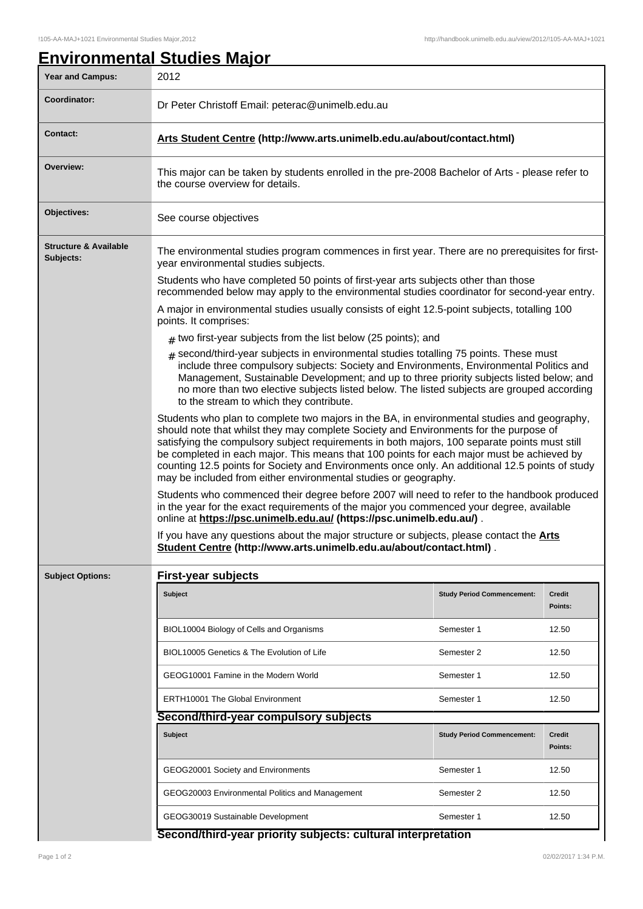## **Environmental Studies Major** Year and Campus: 2012 **Coordinator:** Dr Peter Christoff Email: peterac@unimelb.edu.au **Contact: Arts Student Centre (http://www.arts.unimelb.edu.au/about/contact.html) Overview:** This major can be taken by students enrolled in the pre-2008 Bachelor of Arts - please refer to the course overview for details. **Objectives:** See course objectives **Structure & Available Subjects:** The environmental studies program commences in first year. There are no prerequisites for firstyear environmental studies subjects. Students who have completed 50 points of first-year arts subjects other than those recommended below may apply to the environmental studies coordinator for second-year entry. A major in environmental studies usually consists of eight 12.5-point subjects, totalling 100 points. It comprises:  $_{\#}$  two first-year subjects from the list below (25 points); and # second/third-year subjects in environmental studies totalling 75 points. These must include three compulsory subjects: Society and Environments, Environmental Politics and Management, Sustainable Development; and up to three priority subjects listed below; and no more than two elective subjects listed below. The listed subjects are grouped according to the stream to which they contribute. Students who plan to complete two majors in the BA, in environmental studies and geography, should note that whilst they may complete Society and Environments for the purpose of satisfying the compulsory subject requirements in both majors, 100 separate points must still be completed in each major. This means that 100 points for each major must be achieved by counting 12.5 points for Society and Environments once only. An additional 12.5 points of study may be included from either environmental studies or geography. Students who commenced their degree before 2007 will need to refer to the handbook produced in the year for the exact requirements of the major you commenced your degree, available online at **https://psc.unimelb.edu.au/ (https://psc.unimelb.edu.au/)** . If you have any questions about the major structure or subjects, please contact the **Arts Student Centre (http://www.arts.unimelb.edu.au/about/contact.html)** . **Subject Options: First-year subjects Subject Study Period Commencement: Credit Points:** BIOL10004 Biology of Cells and Organisms Semester 1 12.50 BIOL10005 Genetics & The Evolution of Life Semester 2 12.50 GEOG10001 Famine in the Modern World Semester 1 12.50 ERTH10001 The Global Environment Semester 1 12.50 **Second/third-year compulsory subjects Subject Study Period Commencement: Credit Points:** GEOG20001 Society and Environments Semester 1 12.50 GEOG20003 Environmental Politics and Management Semester 2 12.50 GEOG30019 Sustainable Development Semester 1 12.50

## **Second/third-year priority subjects: cultural interpretation**